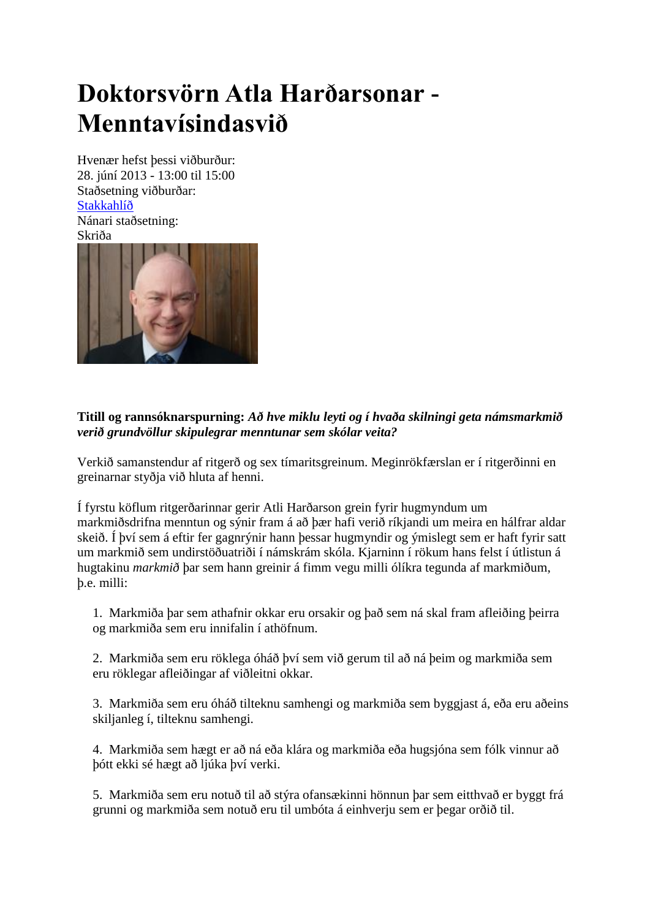## **Doktorsvörn Atla Harðarsonar - Menntavísindasvið**

Hvenær hefst þessi viðburður: 28. júní 2013 - 13:00 til 15:00 Staðsetning viðburðar: [Stakkahlíð](http://wayback.vefsafn.is/wayback/20131119173036/http:/www.hi.is/stakkahlid) Nánari staðsetning: Skriða



## **Titill og rannsóknarspurning:** *Að hve miklu leyti og í hvaða skilningi geta námsmarkmið verið grundvöllur skipulegrar menntunar sem skólar veita?*

Verkið samanstendur af ritgerð og sex tímaritsgreinum. Meginrökfærslan er í ritgerðinni en greinarnar styðja við hluta af henni.

Í fyrstu köflum ritgerðarinnar gerir Atli Harðarson grein fyrir hugmyndum um markmiðsdrifna menntun og sýnir fram á að þær hafi verið ríkjandi um meira en hálfrar aldar skeið. Í því sem á eftir fer gagnrýnir hann þessar hugmyndir og ýmislegt sem er haft fyrir satt um markmið sem undirstöðuatriði í námskrám skóla. Kjarninn í rökum hans felst í útlistun á hugtakinu *markmið* þar sem hann greinir á fimm vegu milli ólíkra tegunda af markmiðum, þ.e. milli:

1. Markmiða þar sem athafnir okkar eru orsakir og það sem ná skal fram afleiðing þeirra og markmiða sem eru innifalin í athöfnum.

2. Markmiða sem eru röklega óháð því sem við gerum til að ná þeim og markmiða sem eru röklegar afleiðingar af viðleitni okkar.

3. Markmiða sem eru óháð tilteknu samhengi og markmiða sem byggjast á, eða eru aðeins skiljanleg í, tilteknu samhengi.

4. Markmiða sem hægt er að ná eða klára og markmiða eða hugsjóna sem fólk vinnur að þótt ekki sé hægt að ljúka því verki.

5. Markmiða sem eru notuð til að stýra ofansækinni hönnun þar sem eitthvað er byggt frá grunni og markmiða sem notuð eru til umbóta á einhverju sem er þegar orðið til.